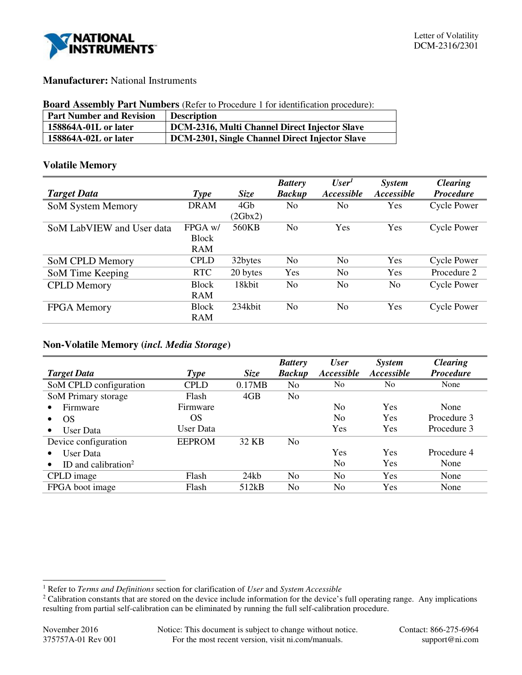

## **Manufacturer:** National Instruments

#### **Board Assembly Part Numbers** (Refer to Procedure 1 for identification procedure):

| <b>Part Number and Revision</b> | <b>Description</b>                             |
|---------------------------------|------------------------------------------------|
| 158864A-01L or later            | DCM-2316, Multi Channel Direct Injector Slave  |
| 158864A-02L or later            | DCM-2301, Single Channel Direct Injector Slave |

## **Volatile Memory**

|                           |              |             | <b>Battery</b> | User <sup>1</sup> | <b>System</b> | <b>Clearing</b>    |
|---------------------------|--------------|-------------|----------------|-------------------|---------------|--------------------|
| <b>Target Data</b>        | <b>Type</b>  | <b>Size</b> | <b>Backup</b>  | Accessible        | Accessible    | <b>Procedure</b>   |
| <b>SoM System Memory</b>  | <b>DRAM</b>  | 4Gb         | N <sub>0</sub> | No                | Yes           | <b>Cycle Power</b> |
|                           |              | (2Gbx2)     |                |                   |               |                    |
| SoM LabVIEW and User data | FPGA w/      | 560KB       | N <sub>0</sub> | Yes               | Yes           | <b>Cycle Power</b> |
|                           | <b>Block</b> |             |                |                   |               |                    |
|                           | <b>RAM</b>   |             |                |                   |               |                    |
| SoM CPLD Memory           | <b>CPLD</b>  | 32bytes     | No             | No                | Yes           | Cycle Power        |
| SoM Time Keeping          | <b>RTC</b>   | 20 bytes    | Yes            | N <sub>0</sub>    | Yes           | Procedure 2        |
| <b>CPLD</b> Memory        | <b>Block</b> | 18kbit      | N <sub>0</sub> | N <sub>0</sub>    | No            | <b>Cycle Power</b> |
|                           | <b>RAM</b>   |             |                |                   |               |                    |
| <b>FPGA</b> Memory        | <b>Block</b> | 234kbit     | N <sub>0</sub> | N <sub>0</sub>    | Yes           | Cycle Power        |
|                           | <b>RAM</b>   |             |                |                   |               |                    |

## **Non-Volatile Memory (***incl. Media Storage***)**

|                                 |               |             | <b>Battery</b> | <b>User</b>              | <i>System</i>  | <b>Clearing</b>  |
|---------------------------------|---------------|-------------|----------------|--------------------------|----------------|------------------|
| <b>Target Data</b>              | <b>Type</b>   | <b>Size</b> | <b>Backup</b>  | <i><b>Accessible</b></i> | Accessible     | <b>Procedure</b> |
| SoM CPLD configuration          | <b>CPLD</b>   | 0.17MB      | N <sub>0</sub> | N <sub>0</sub>           | N <sub>0</sub> | None             |
| SoM Primary storage             | Flash         | 4GB         | N <sub>0</sub> |                          |                |                  |
| Firmware                        | Firmware      |             |                | No.                      | Yes            | None             |
| OS                              | OS            |             |                | No                       | Yes            | Procedure 3      |
| User Data                       | User Data     |             |                | Yes                      | Yes            | Procedure 3      |
| Device configuration            | <b>EEPROM</b> | 32 KB       | N <sub>0</sub> |                          |                |                  |
| User Data                       |               |             |                | Yes                      | Yes            | Procedure 4      |
| ID and calibration <sup>2</sup> |               |             |                | No                       | <b>Yes</b>     | None             |
| CPLD image                      | Flash         | 24kb        | No             | No                       | Yes            | None             |
| FPGA boot image                 | Flash         | 512kB       | No             | No                       | Yes            | None             |

j

<sup>1</sup> Refer to *Terms and Definitions* section for clarification of *User* and *System Accessible*

<sup>&</sup>lt;sup>2</sup> Calibration constants that are stored on the device include information for the device's full operating range. Any implications resulting from partial self-calibration can be eliminated by running the full self-calibration procedure.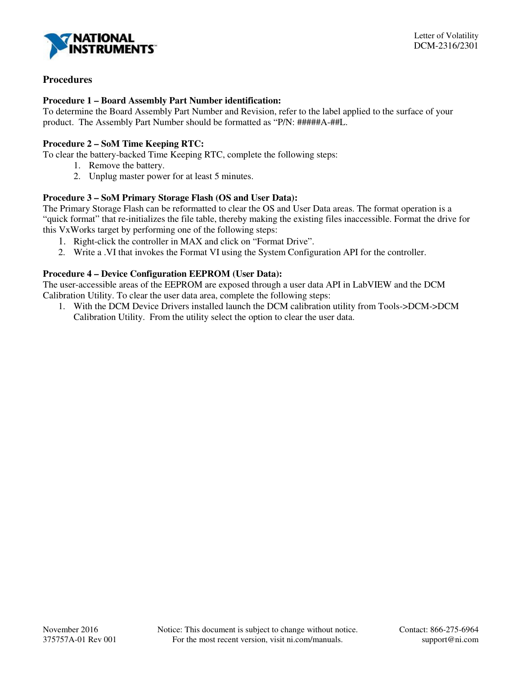

# **Procedures**

### **Procedure 1 – Board Assembly Part Number identification:**

To determine the Board Assembly Part Number and Revision, refer to the label applied to the surface of your product. The Assembly Part Number should be formatted as "P/N: #####A-##L.

### **Procedure 2 – SoM Time Keeping RTC:**

To clear the battery-backed Time Keeping RTC, complete the following steps:

- 1. Remove the battery.
- 2. Unplug master power for at least 5 minutes.

### **Procedure 3 – SoM Primary Storage Flash (OS and User Data):**

The Primary Storage Flash can be reformatted to clear the OS and User Data areas. The format operation is a "quick format" that re-initializes the file table, thereby making the existing files inaccessible. Format the drive for this VxWorks target by performing one of the following steps:

- 1. Right-click the controller in MAX and click on "Format Drive".
- 2. Write a .VI that invokes the Format VI using the System Configuration API for the controller.

## **Procedure 4 – Device Configuration EEPROM (User Data):**

The user-accessible areas of the EEPROM are exposed through a user data API in LabVIEW and the DCM Calibration Utility. To clear the user data area, complete the following steps:

1. With the DCM Device Drivers installed launch the DCM calibration utility from Tools->DCM->DCM Calibration Utility. From the utility select the option to clear the user data.